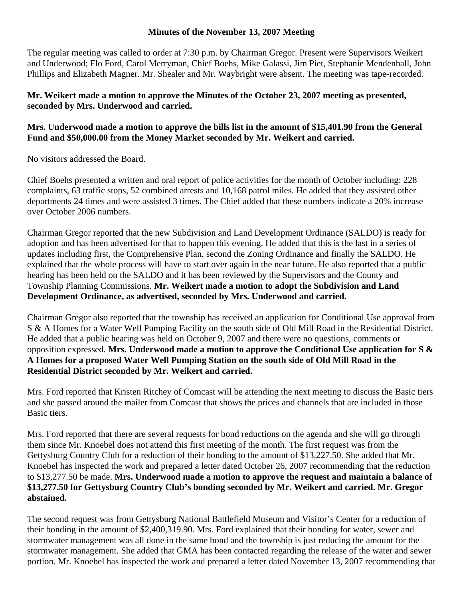## **Minutes of the November 13, 2007 Meeting**

The regular meeting was called to order at 7:30 p.m. by Chairman Gregor. Present were Supervisors Weikert and Underwood; Flo Ford, Carol Merryman, Chief Boehs, Mike Galassi, Jim Piet, Stephanie Mendenhall, John Phillips and Elizabeth Magner. Mr. Shealer and Mr. Waybright were absent. The meeting was tape-recorded.

## **Mr. Weikert made a motion to approve the Minutes of the October 23, 2007 meeting as presented, seconded by Mrs. Underwood and carried.**

## **Mrs. Underwood made a motion to approve the bills list in the amount of \$15,401.90 from the General Fund and \$50,000.00 from the Money Market seconded by Mr. Weikert and carried.**

No visitors addressed the Board.

Chief Boehs presented a written and oral report of police activities for the month of October including: 228 complaints, 63 traffic stops, 52 combined arrests and 10,168 patrol miles. He added that they assisted other departments 24 times and were assisted 3 times. The Chief added that these numbers indicate a 20% increase over October 2006 numbers.

Chairman Gregor reported that the new Subdivision and Land Development Ordinance (SALDO) is ready for adoption and has been advertised for that to happen this evening. He added that this is the last in a series of updates including first, the Comprehensive Plan, second the Zoning Ordinance and finally the SALDO. He explained that the whole process will have to start over again in the near future. He also reported that a public hearing has been held on the SALDO and it has been reviewed by the Supervisors and the County and Township Planning Commissions. **Mr. Weikert made a motion to adopt the Subdivision and Land Development Ordinance, as advertised, seconded by Mrs. Underwood and carried.** 

Chairman Gregor also reported that the township has received an application for Conditional Use approval from S & A Homes for a Water Well Pumping Facility on the south side of Old Mill Road in the Residential District. He added that a public hearing was held on October 9, 2007 and there were no questions, comments or opposition expressed. **Mrs. Underwood made a motion to approve the Conditional Use application for S & A Homes for a proposed Water Well Pumping Station on the south side of Old Mill Road in the Residential District seconded by Mr. Weikert and carried.** 

Mrs. Ford reported that Kristen Ritchey of Comcast will be attending the next meeting to discuss the Basic tiers and she passed around the mailer from Comcast that shows the prices and channels that are included in those Basic tiers.

Mrs. Ford reported that there are several requests for bond reductions on the agenda and she will go through them since Mr. Knoebel does not attend this first meeting of the month. The first request was from the Gettysburg Country Club for a reduction of their bonding to the amount of \$13,227.50. She added that Mr. Knoebel has inspected the work and prepared a letter dated October 26, 2007 recommending that the reduction to \$13,277.50 be made. **Mrs. Underwood made a motion to approve the request and maintain a balance of \$13,277.50 for Gettysburg Country Club's bonding seconded by Mr. Weikert and carried. Mr. Gregor abstained.** 

The second request was from Gettysburg National Battlefield Museum and Visitor's Center for a reduction of their bonding in the amount of \$2,400,319.90. Mrs. Ford explained that their bonding for water, sewer and stormwater management was all done in the same bond and the township is just reducing the amount for the stormwater management. She added that GMA has been contacted regarding the release of the water and sewer portion. Mr. Knoebel has inspected the work and prepared a letter dated November 13, 2007 recommending that